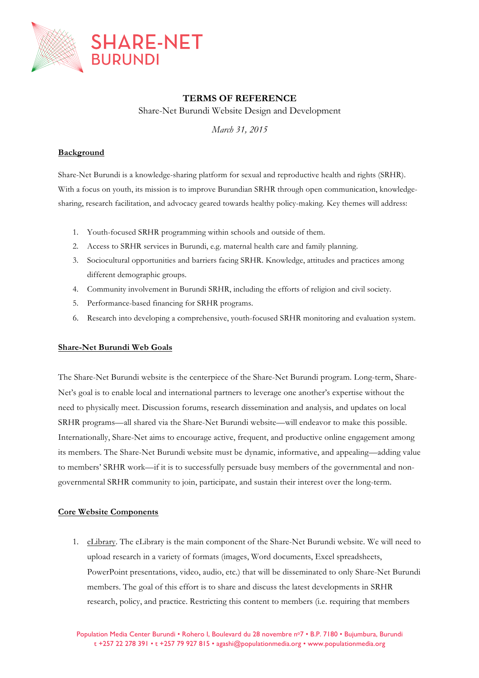

# **TERMS OF REFERENCE**

Share-Net Burundi Website Design and Development

*March 31, 2015*

### **Background**

Share-Net Burundi is a knowledge-sharing platform for sexual and reproductive health and rights (SRHR). With a focus on youth, its mission is to improve Burundian SRHR through open communication, knowledgesharing, research facilitation, and advocacy geared towards healthy policy-making. Key themes will address:

- 1. Youth-focused SRHR programming within schools and outside of them.
- 2. Access to SRHR services in Burundi, e.g. maternal health care and family planning.
- 3. Sociocultural opportunities and barriers facing SRHR. Knowledge, attitudes and practices among different demographic groups.
- 4. Community involvement in Burundi SRHR, including the efforts of religion and civil society.
- 5. Performance-based financing for SRHR programs.
- 6. Research into developing a comprehensive, youth-focused SRHR monitoring and evaluation system.

### **Share-Net Burundi Web Goals**

The Share-Net Burundi website is the centerpiece of the Share-Net Burundi program. Long-term, Share-Net's goal is to enable local and international partners to leverage one another's expertise without the need to physically meet. Discussion forums, research dissemination and analysis, and updates on local SRHR programs—all shared via the Share-Net Burundi website—will endeavor to make this possible. Internationally, Share-Net aims to encourage active, frequent, and productive online engagement among its members. The Share-Net Burundi website must be dynamic, informative, and appealing—adding value to members' SRHR work—if it is to successfully persuade busy members of the governmental and nongovernmental SRHR community to join, participate, and sustain their interest over the long-term.

### **Core Website Components**

1. eLibrary. The eLibrary is the main component of the Share-Net Burundi website. We will need to upload research in a variety of formats (images, Word documents, Excel spreadsheets, PowerPoint presentations, video, audio, etc.) that will be disseminated to only Share-Net Burundi members. The goal of this effort is to share and discuss the latest developments in SRHR research, policy, and practice. Restricting this content to members (i.e. requiring that members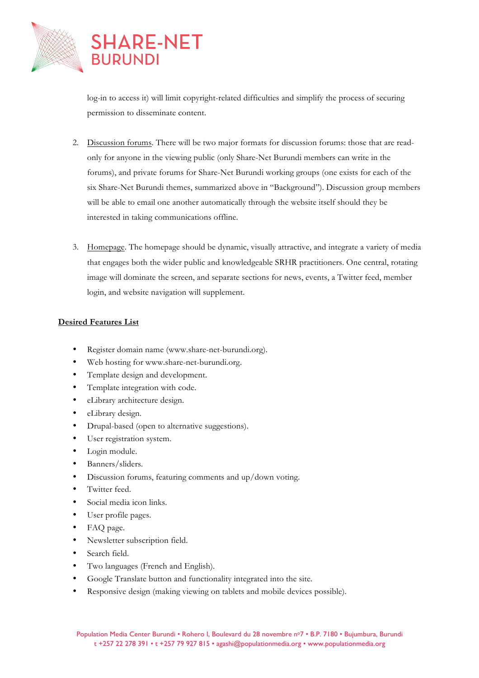

log-in to access it) will limit copyright-related difficulties and simplify the process of securing permission to disseminate content.

- 2. Discussion forums. There will be two major formats for discussion forums: those that are readonly for anyone in the viewing public (only Share-Net Burundi members can write in the forums), and private forums for Share-Net Burundi working groups (one exists for each of the six Share-Net Burundi themes, summarized above in "Background"). Discussion group members will be able to email one another automatically through the website itself should they be interested in taking communications offline.
- 3. Homepage. The homepage should be dynamic, visually attractive, and integrate a variety of media that engages both the wider public and knowledgeable SRHR practitioners. One central, rotating image will dominate the screen, and separate sections for news, events, a Twitter feed, member login, and website navigation will supplement.

### **Desired Features List**

- Register domain name (www.share-net-burundi.org).
- Web hosting for www.share-net-burundi.org.
- Template design and development.
- Template integration with code.
- eLibrary architecture design.
- eLibrary design.
- Drupal-based (open to alternative suggestions).
- User registration system.
- Login module.
- Banners/sliders.
- Discussion forums, featuring comments and up/down voting.
- Twitter feed.
- Social media icon links.
- User profile pages.
- FAQ page.
- Newsletter subscription field.
- Search field.
- Two languages (French and English).
- Google Translate button and functionality integrated into the site.
- Responsive design (making viewing on tablets and mobile devices possible).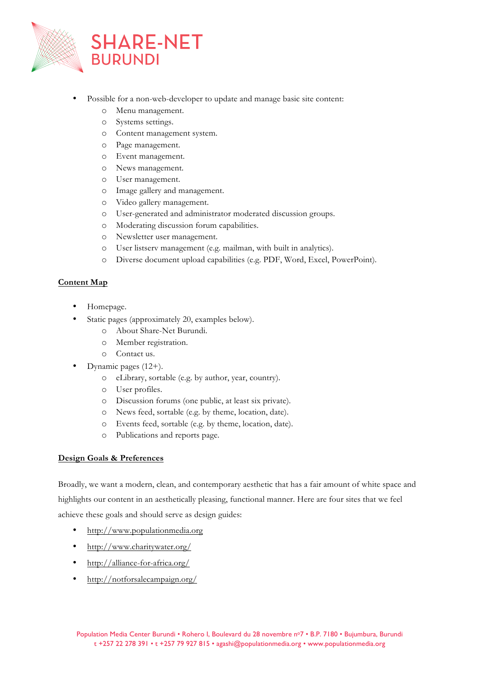

- Possible for a non-web-developer to update and manage basic site content:
	- o Menu management.
	- o Systems settings.
	- o Content management system.
	- o Page management.
	- o Event management.
	- o News management.
	- o User management.
	- o Image gallery and management.
	- o Video gallery management.
	- o User-generated and administrator moderated discussion groups.
	- o Moderating discussion forum capabilities.
	- o Newsletter user management.
	- o User listserv management (e.g. mailman, with built in analytics).
	- o Diverse document upload capabilities (e.g. PDF, Word, Excel, PowerPoint).

## **Content Map**

- Homepage.
- Static pages (approximately 20, examples below).
	- o About Share-Net Burundi.
	- o Member registration.
	- o Contact us.
- Dynamic pages (12+).
	- o eLibrary, sortable (e.g. by author, year, country).
	- o User profiles.
	- o Discussion forums (one public, at least six private).
	- o News feed, sortable (e.g. by theme, location, date).
	- o Events feed, sortable (e.g. by theme, location, date).
	- o Publications and reports page.

## **Design Goals & Preferences**

Broadly, we want a modern, clean, and contemporary aesthetic that has a fair amount of white space and highlights our content in an aesthetically pleasing, functional manner. Here are four sites that we feel achieve these goals and should serve as design guides:

- http://www.populationmedia.org
- http://www.charitywater.org/
- http://alliance-for-africa.org/
- http://notforsalecampaign.org/